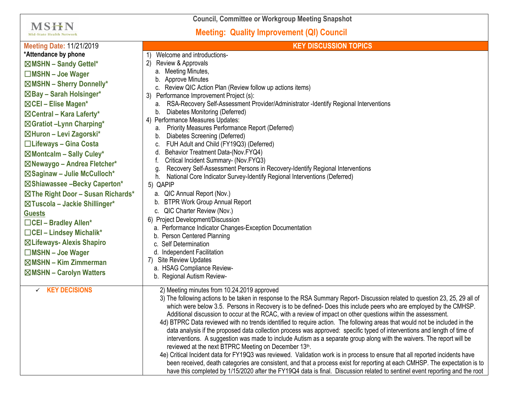| <b>Council, Committee or Workgroup Meeting Snapshot</b>                                                                                                                                                                                     |                                                                                                                                                                                                                                                                                                                                                                                                                                                                                                                                                                                                                                                                                                                                                                                                                                                                                                                                                                                                                                                                                                                                                                                                                                                               |
|---------------------------------------------------------------------------------------------------------------------------------------------------------------------------------------------------------------------------------------------|---------------------------------------------------------------------------------------------------------------------------------------------------------------------------------------------------------------------------------------------------------------------------------------------------------------------------------------------------------------------------------------------------------------------------------------------------------------------------------------------------------------------------------------------------------------------------------------------------------------------------------------------------------------------------------------------------------------------------------------------------------------------------------------------------------------------------------------------------------------------------------------------------------------------------------------------------------------------------------------------------------------------------------------------------------------------------------------------------------------------------------------------------------------------------------------------------------------------------------------------------------------|
| MSHN<br><b>Mid-State Health Network</b>                                                                                                                                                                                                     | <b>Meeting: Quality Improvement (QI) Council</b>                                                                                                                                                                                                                                                                                                                                                                                                                                                                                                                                                                                                                                                                                                                                                                                                                                                                                                                                                                                                                                                                                                                                                                                                              |
| <b>Meeting Date: 11/21/2019</b><br>*Attendance by phone<br>⊠MSHN - Sandy Gettel*                                                                                                                                                            | <b>KEY DISCUSSION TOPICS</b><br>Welcome and introductions-<br>Review & Approvals<br>2)                                                                                                                                                                                                                                                                                                                                                                                                                                                                                                                                                                                                                                                                                                                                                                                                                                                                                                                                                                                                                                                                                                                                                                        |
| $\Box$ MSHN - Joe Wager<br>⊠MSHN - Sherry Donnelly*<br>$\boxtimes$ Bay – Sarah Holsinger*<br>⊠CEI – Elise Magen*<br>$\boxtimes$ Central – Kara Laferty*<br>⊠Gratiot -Lynn Charping*<br>⊠Huron - Levi Zagorski*<br>□Lifeways - Gina Costa    | a. Meeting Minutes,<br><b>Approve Minutes</b><br>c. Review QIC Action Plan (Review follow up actions items)<br>Performance Improvement Project (s):<br>3)<br>RSA-Recovery Self-Assessment Provider/Administrator -Identify Regional Interventions<br>а.<br>Diabetes Monitoring (Deferred)<br>b.<br>4) Performance Measures Updates:<br>Priority Measures Performance Report (Deferred)<br>а.<br>Diabetes Screening (Deferred)<br>b.<br>FUH Adult and Child (FY19Q3) (Deferred)<br>c.<br>Behavior Treatment Data-(Nov.FYQ4)<br>d.<br>Critical Incident Summary- (Nov.FYQ3)<br>Recovery Self-Assessment Persons in Recovery-Identify Regional Interventions<br>g<br>National Core Indicator Survey-Identify Regional Interventions (Deferred)<br>h.<br>5) QAPIP<br>a. QIC Annual Report (Nov.)<br><b>BTPR Work Group Annual Report</b><br>b.<br>c. QIC Charter Review (Nov.)<br>6) Project Development/Discussion<br>a. Performance Indicator Changes-Exception Documentation<br>b. Person Centered Planning<br>c. Self Determination<br>d. Independent Facilitation<br>Site Review Updates<br>a. HSAG Compliance Review-<br>b. Regional Autism Review-                                                                                                         |
| $\boxtimes$ Montcalm - Sally Culey*<br>⊠Newaygo - Andrea Fletcher*<br>⊠Saginaw - Julie McCulloch*<br>⊠Shiawassee -Becky Caperton*<br>$\boxtimes$ The Right Door - Susan Richards*                                                           |                                                                                                                                                                                                                                                                                                                                                                                                                                                                                                                                                                                                                                                                                                                                                                                                                                                                                                                                                                                                                                                                                                                                                                                                                                                               |
| ⊠Tuscola – Jackie Shillinger*<br><b>Guests</b><br>□CEI - Bradley Allen*<br>$\Box$ CEI - Lindsey Michalik*<br>⊠Lifeways- Alexis Shapiro<br>$\Box$ MSHN - Joe Wager<br>$\boxtimes$ MSHN – Kim Zimmerman<br>$\boxtimes$ MSHN - Carolyn Watters |                                                                                                                                                                                                                                                                                                                                                                                                                                                                                                                                                                                                                                                                                                                                                                                                                                                                                                                                                                                                                                                                                                                                                                                                                                                               |
| $\checkmark$ KEY DECISIONS                                                                                                                                                                                                                  | 2) Meeting minutes from 10.24.2019 approved<br>3) The following actions to be taken in response to the RSA Summary Report- Discussion related to question 23, 25, 29 all of<br>which were below 3.5. Persons in Recovery is to be defined- Does this include peers who are employed by the CMHSP.<br>Additional discussion to occur at the RCAC, with a review of impact on other questions within the assessment.<br>4d) BTPRC Data reviewed with no trends identified to require action. The following areas that would not be included in the<br>data analysis if the proposed data collection process was approved: specific typed of interventions and length of time of<br>interventions. A suggestion was made to include Autism as a separate group along with the waivers. The report will be<br>reviewed at the next BTPRC Meeting on December 13th.<br>4e) Critical Incident data for FY19Q3 was reviewed. Validation work is in process to ensure that all reported incidents have<br>been received, death categories are consistent, and that a process exist for reporting at each CMHSP. The expectation is to<br>have this completed by 1/15/2020 after the FY19Q4 data is final. Discussion related to sentinel event reporting and the root |